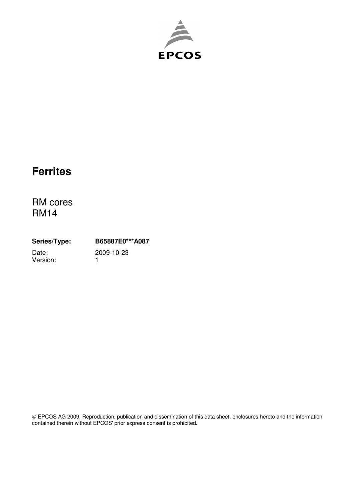

# **Ferrites**

RM cores RM14

**Series/Type: B65887E0\*\*\*A087** Date: 2009-10-23<br>Version: 1 Version:

 EPCOS AG 2009. Reproduction, publication and dissemination of this data sheet, enclosures hereto and the information contained therein without EPCOS' prior express consent is prohibited.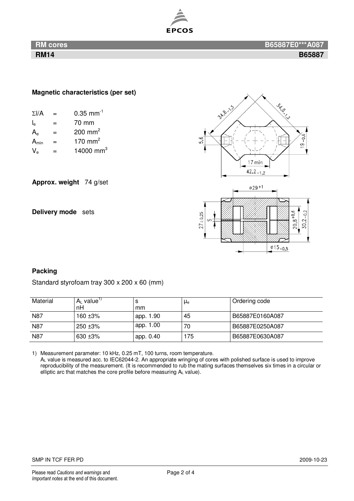

## **Magnetic characteristics (per set)**

| $\Sigma$ I/A | =   | $0.35$ mm <sup>-1</sup> |  |
|--------------|-----|-------------------------|--|
| le           | $=$ | 70 mm                   |  |
| $A_{\rm e}$  | $=$ | 200 mm <sup>2</sup>     |  |
| $A_{\min}$   | $=$ | 170 mm <sup>2</sup>     |  |
| $V_{\rm e}$  |     | 14000 mm <sup>3</sup>   |  |

**Approx. weight** 74 g/set

**Delivery mode** sets



# **Packing**

Standard styrofoam tray 300 x 200 x 60 (mm)

| Material | $A_L$ value"<br>nH | mm        | $\mu_{e}$ | Ordering code   |
|----------|--------------------|-----------|-----------|-----------------|
| N87      | 160 ±3%            | app. 1.90 | 45        | B65887E0160A087 |
| N87      | 250 ±3%            | app. 1.00 | 70        | B65887E0250A087 |
| N87      | $630 + 3%$         | app. 0.40 | 175       | B65887E0630A087 |

1) Measurement parameter: 10 kHz, 0.25 mT, 100 turns, room temperature.

AL value is measured acc. to IEC62044-2. An appropriate wringing of cores with polished surface is used to improve reproducibility of the measurement. (It is recommended to rub the mating surfaces themselves six times in a circular or elliptic arc that matches the core profile before measuring  $A_L$  value).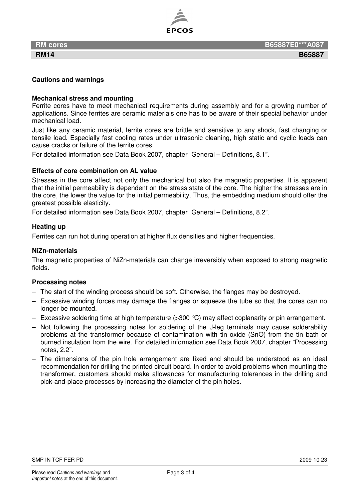

### **Cautions and warnings**

#### **Mechanical stress and mounting**

Ferrite cores have to meet mechanical requirements during assembly and for a growing number of applications. Since ferrites are ceramic materials one has to be aware of their special behavior under mechanical load.

Just like any ceramic material, ferrite cores are brittle and sensitive to any shock, fast changing or tensile load. Especially fast cooling rates under ultrasonic cleaning, high static and cyclic loads can cause cracks or failure of the ferrite cores.

For detailed information see Data Book 2007, chapter "General – Definitions, 8.1".

#### **Effects of core combination on AL value**

Stresses in the core affect not only the mechanical but also the magnetic properties. It is apparent that the initial permeability is dependent on the stress state of the core. The higher the stresses are in the core, the lower the value for the initial permeability. Thus, the embedding medium should offer the greatest possible elasticity.

For detailed information see Data Book 2007, chapter "General – Definitions, 8.2".

#### **Heating up**

Ferrites can run hot during operation at higher flux densities and higher frequencies.

#### **NiZn-materials**

The magnetic properties of NiZn-materials can change irreversibly when exposed to strong magnetic fields.

#### **Processing notes**

- The start of the winding process should be soft. Otherwise, the flanges may be destroyed.
- Excessive winding forces may damage the flanges or squeeze the tube so that the cores can no longer be mounted.
- Excessive soldering time at high temperature ( $>300$  °C) may affect coplanarity or pin arrangement.
- Not following the processing notes for soldering of the J-leg terminals may cause solderability problems at the transformer because of contamination with tin oxide (SnO) from the tin bath or burned insulation from the wire. For detailed information see Data Book 2007, chapter "Processing notes, 2.2".
- The dimensions of the pin hole arrangement are fixed and should be understood as an ideal recommendation for drilling the printed circuit board. In order to avoid problems when mounting the transformer, customers should make allowances for manufacturing tolerances in the drilling and pick-and-place processes by increasing the diameter of the pin holes.